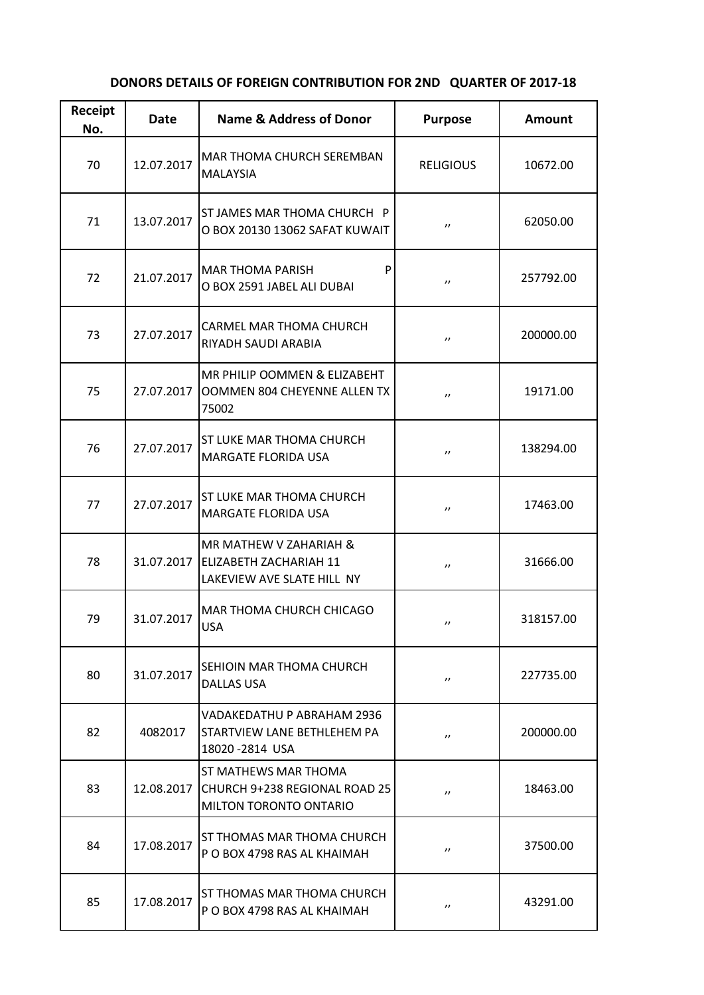## **DONORS DETAILS OF FOREIGN CONTRIBUTION FOR 2ND QUARTER OF 2017-18**

| Receipt<br>No. | <b>Date</b> | <b>Name &amp; Address of Donor</b>                                                    | <b>Purpose</b>    | <b>Amount</b> |
|----------------|-------------|---------------------------------------------------------------------------------------|-------------------|---------------|
| 70             | 12.07.2017  | MAR THOMA CHURCH SEREMBAN<br><b>MALAYSIA</b>                                          | <b>RELIGIOUS</b>  | 10672.00      |
| 71             | 13.07.2017  | ST JAMES MAR THOMA CHURCH P<br>O BOX 20130 13062 SAFAT KUWAIT                         | $^{\prime\prime}$ | 62050.00      |
| 72             | 21.07.2017  | P<br><b>MAR THOMA PARISH</b><br>O BOX 2591 JABEL ALI DUBAI                            | $^{\prime\prime}$ | 257792.00     |
| 73             | 27.07.2017  | CARMEL MAR THOMA CHURCH<br>RIYADH SAUDI ARABIA                                        | $^{\prime\prime}$ | 200000.00     |
| 75             | 27.07.2017  | MR PHILIP OOMMEN & ELIZABEHT<br>OOMMEN 804 CHEYENNE ALLEN TX<br>75002                 | $^{\prime\prime}$ | 19171.00      |
| 76             | 27.07.2017  | ST LUKE MAR THOMA CHURCH<br><b>MARGATE FLORIDA USA</b>                                | $^{\prime\prime}$ | 138294.00     |
| 77             | 27.07.2017  | ST LUKE MAR THOMA CHURCH<br><b>MARGATE FLORIDA USA</b>                                | $^{\prime\prime}$ | 17463.00      |
| 78             | 31.07.2017  | MR MATHEW V ZAHARIAH &<br><b>ELIZABETH ZACHARIAH 11</b><br>LAKEVIEW AVE SLATE HILL NY | $^{\prime\prime}$ | 31666.00      |
| 79             | 31.07.2017  | MAR THOMA CHURCH CHICAGO<br><b>USA</b>                                                | $^{\prime\prime}$ | 318157.00     |
| 80             | 31.07.2017  | SEHIOIN MAR THOMA CHURCH<br><b>DALLAS USA</b>                                         | $^{\prime\prime}$ | 227735.00     |
| 82             | 4082017     | VADAKEDATHU P ABRAHAM 2936<br>STARTVIEW LANE BETHLEHEM PA<br>18020-2814 USA           | $^{\prime\prime}$ | 200000.00     |
| 83             | 12.08.2017  | ST MATHEWS MAR THOMA<br>CHURCH 9+238 REGIONAL ROAD 25<br>MILTON TORONTO ONTARIO       | $^{\prime\prime}$ | 18463.00      |
| 84             | 17.08.2017  | ST THOMAS MAR THOMA CHURCH<br>P O BOX 4798 RAS AL KHAIMAH                             | $^{\prime\prime}$ | 37500.00      |
| 85             | 17.08.2017  | ST THOMAS MAR THOMA CHURCH<br>P O BOX 4798 RAS AL KHAIMAH                             | $^{\prime\prime}$ | 43291.00      |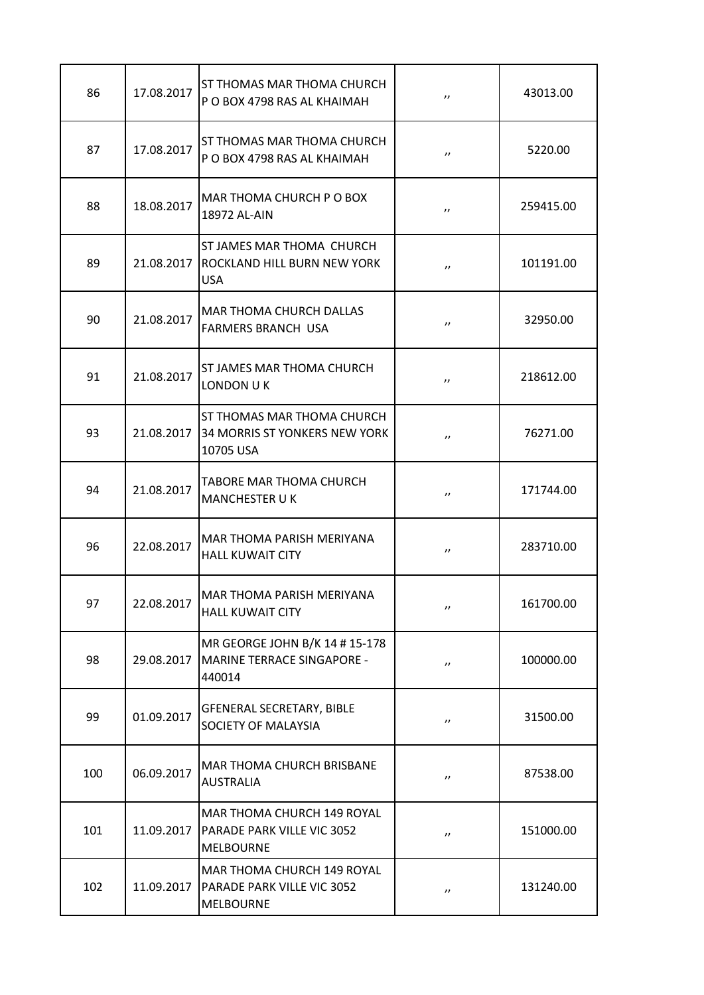| 86  | 17.08.2017 | ST THOMAS MAR THOMA CHURCH<br>P O BOX 4798 RAS AL KHAIMAH                       | $^{\prime\prime}$ | 43013.00  |
|-----|------------|---------------------------------------------------------------------------------|-------------------|-----------|
| 87  | 17.08.2017 | <b>ST THOMAS MAR THOMA CHURCH</b><br>P O BOX 4798 RAS AL KHAIMAH                | $^{\prime\prime}$ | 5220.00   |
| 88  | 18.08.2017 | <b>MAR THOMA CHURCH P O BOX</b><br>18972 AL-AIN                                 | $^{\prime\prime}$ | 259415.00 |
| 89  | 21.08.2017 | <b>ST JAMES MAR THOMA CHURCH</b><br>ROCKLAND HILL BURN NEW YORK<br><b>USA</b>   | $^{\prime\prime}$ | 101191.00 |
| 90  | 21.08.2017 | <b>MAR THOMA CHURCH DALLAS</b><br><b>FARMERS BRANCH USA</b>                     | $^{\prime\prime}$ | 32950.00  |
| 91  | 21.08.2017 | <b>ST JAMES MAR THOMA CHURCH</b><br>LONDON U K                                  | $^{\prime\prime}$ | 218612.00 |
| 93  | 21.08.2017 | <b>ST THOMAS MAR THOMA CHURCH</b><br>34 MORRIS ST YONKERS NEW YORK<br>10705 USA | $^{\prime\prime}$ | 76271.00  |
| 94  | 21.08.2017 | TABORE MAR THOMA CHURCH<br><b>MANCHESTER UK</b>                                 | $^{\prime\prime}$ | 171744.00 |
| 96  | 22.08.2017 | MAR THOMA PARISH MERIYANA<br><b>HALL KUWAIT CITY</b>                            | $^{\prime\prime}$ | 283710.00 |
| 97  | 22.08.2017 | <b>MAR THOMA PARISH MERIYANA</b><br><b>HALL KUWAIT CITY</b>                     | $^{\prime\prime}$ | 161700.00 |
| 98  | 29.08.2017 | MR GEORGE JOHN B/K 14 # 15-178<br><b>MARINE TERRACE SINGAPORE -</b><br>440014   | $^{\prime\prime}$ | 100000.00 |
| 99  | 01.09.2017 | <b>GFENERAL SECRETARY, BIBLE</b><br>SOCIETY OF MALAYSIA                         | $^{\prime\prime}$ | 31500.00  |
| 100 | 06.09.2017 | <b>MAR THOMA CHURCH BRISBANE</b><br><b>AUSTRALIA</b>                            | $^{\prime\prime}$ | 87538.00  |
| 101 | 11.09.2017 | MAR THOMA CHURCH 149 ROYAL<br>PARADE PARK VILLE VIC 3052<br><b>MELBOURNE</b>    | $^{\prime\prime}$ | 151000.00 |
| 102 | 11.09.2017 | MAR THOMA CHURCH 149 ROYAL<br>PARADE PARK VILLE VIC 3052<br><b>MELBOURNE</b>    | $^{\prime\prime}$ | 131240.00 |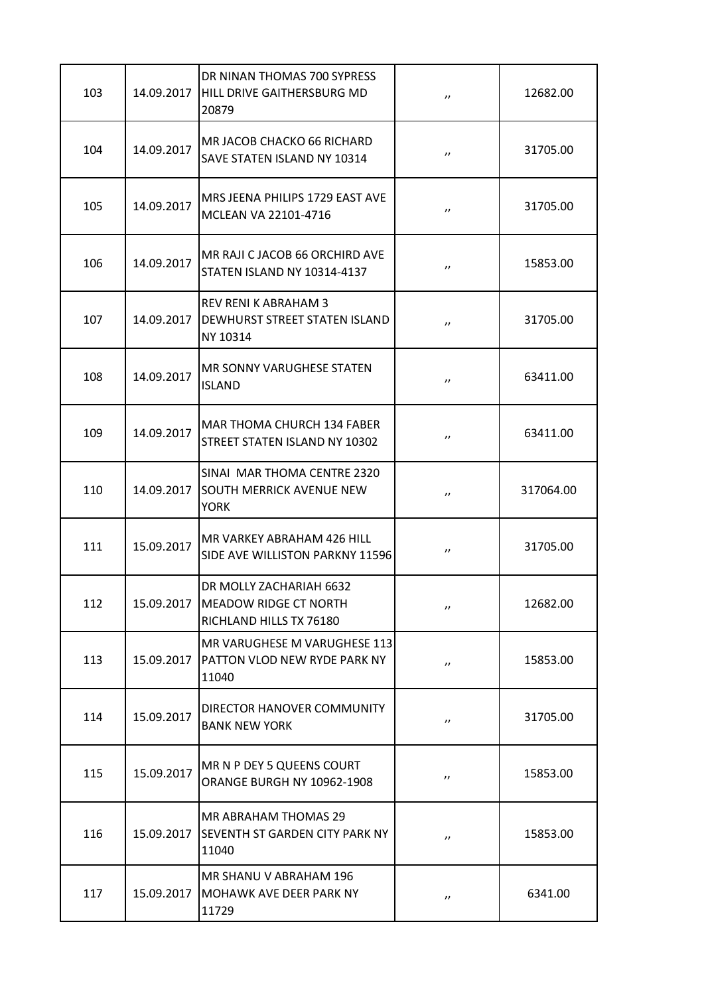| 103 | 14.09.2017 | DR NINAN THOMAS 700 SYPRESS<br>HILL DRIVE GAITHERSBURG MD<br>20879                       | $^{\prime\prime}$ | 12682.00  |
|-----|------------|------------------------------------------------------------------------------------------|-------------------|-----------|
| 104 | 14.09.2017 | <b>MR JACOB CHACKO 66 RICHARD</b><br>SAVE STATEN ISLAND NY 10314                         | $^{\prime\prime}$ | 31705.00  |
| 105 | 14.09.2017 | MRS JEENA PHILIPS 1729 EAST AVE<br>MCLEAN VA 22101-4716                                  | $^{\prime\prime}$ | 31705.00  |
| 106 | 14.09.2017 | MR RAJI C JACOB 66 ORCHIRD AVE<br><b>STATEN ISLAND NY 10314-4137</b>                     | $^{\prime\prime}$ | 15853.00  |
| 107 | 14.09.2017 | <b>REV RENI K ABRAHAM 3</b><br><b>DEWHURST STREET STATEN ISLAND</b><br>NY 10314          | $^{\prime\prime}$ | 31705.00  |
| 108 | 14.09.2017 | <b>MR SONNY VARUGHESE STATEN</b><br><b>ISLAND</b>                                        | $^{\prime\prime}$ | 63411.00  |
| 109 | 14.09.2017 | <b>MAR THOMA CHURCH 134 FABER</b><br>STREET STATEN ISLAND NY 10302                       | $^{\prime\prime}$ | 63411.00  |
| 110 | 14.09.2017 | SINAI MAR THOMA CENTRE 2320<br><b>SOUTH MERRICK AVENUE NEW</b><br><b>YORK</b>            | $^{\prime\prime}$ | 317064.00 |
| 111 | 15.09.2017 | MR VARKEY ABRAHAM 426 HILL<br>SIDE AVE WILLISTON PARKNY 11596                            | $^{\prime\prime}$ | 31705.00  |
| 112 |            | DR MOLLY ZACHARIAH 6632<br>15.09.2017   MEADOW RIDGE CT NORTH<br>RICHLAND HILLS TX 76180 | $^{\prime\prime}$ | 12682.00  |
| 113 | 15.09.2017 | MR VARUGHESE M VARUGHESE 113<br>PATTON VLOD NEW RYDE PARK NY<br>11040                    | $^{\prime\prime}$ | 15853.00  |
| 114 | 15.09.2017 | DIRECTOR HANOVER COMMUNITY<br><b>BANK NEW YORK</b>                                       | $^{\prime\prime}$ | 31705.00  |
| 115 | 15.09.2017 | MR N P DEY 5 QUEENS COURT<br>ORANGE BURGH NY 10962-1908                                  | $^{\prime\prime}$ | 15853.00  |
| 116 | 15.09.2017 | <b>MR ABRAHAM THOMAS 29</b><br><b>ISEVENTH ST GARDEN CITY PARK NY</b><br>11040           | $^{\prime\prime}$ | 15853.00  |
| 117 | 15.09.2017 | MR SHANU V ABRAHAM 196<br>MOHAWK AVE DEER PARK NY<br>11729                               | $^{\prime\prime}$ | 6341.00   |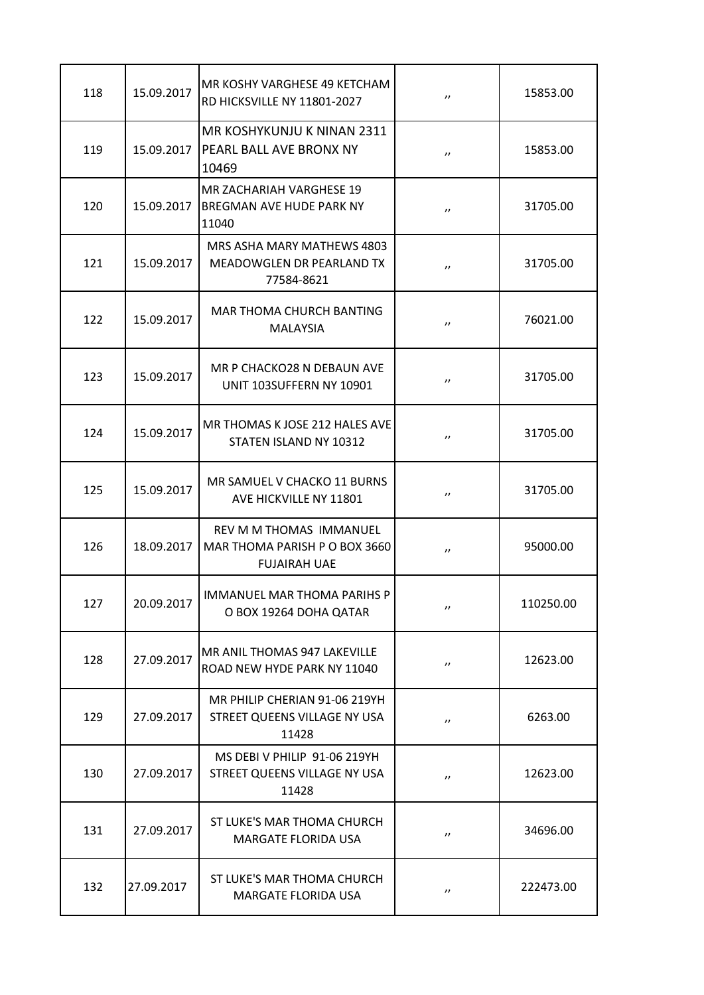| 118 | 15.09.2017 | MR KOSHY VARGHESE 49 KETCHAM<br>RD HICKSVILLE NY 11801-2027                     | $^{\prime\prime}$ | 15853.00  |
|-----|------------|---------------------------------------------------------------------------------|-------------------|-----------|
| 119 | 15.09.2017 | MR KOSHYKUNJU K NINAN 2311<br><b>PEARL BALL AVE BRONX NY</b><br>10469           | $^{\prime\prime}$ | 15853.00  |
| 120 | 15.09.2017 | <b>MR ZACHARIAH VARGHESE 19</b><br><b>BREGMAN AVE HUDE PARK NY</b><br>11040     | $^{\prime\prime}$ | 31705.00  |
| 121 | 15.09.2017 | MRS ASHA MARY MATHEWS 4803<br>MEADOWGLEN DR PEARLAND TX<br>77584-8621           | $^{\prime\prime}$ | 31705.00  |
| 122 | 15.09.2017 | MAR THOMA CHURCH BANTING<br><b>MALAYSIA</b>                                     | $^{\prime\prime}$ | 76021.00  |
| 123 | 15.09.2017 | MR P CHACKO28 N DEBAUN AVE<br>UNIT 103SUFFERN NY 10901                          | $^{\prime\prime}$ | 31705.00  |
| 124 | 15.09.2017 | MR THOMAS K JOSE 212 HALES AVE<br>STATEN ISLAND NY 10312                        | $^{\prime\prime}$ | 31705.00  |
| 125 | 15.09.2017 | MR SAMUEL V CHACKO 11 BURNS<br>AVE HICKVILLE NY 11801                           | $^{\prime\prime}$ | 31705.00  |
| 126 | 18.09.2017 | REV M M THOMAS IMMANUEL<br>MAR THOMA PARISH P O BOX 3660<br><b>FUJAIRAH UAE</b> | $^{\prime\prime}$ | 95000.00  |
| 127 | 20.09.2017 | <b>IMMANUEL MAR THOMA PARIHS P</b><br>O BOX 19264 DOHA QATAR                    | $^{\prime\prime}$ | 110250.00 |
| 128 | 27.09.2017 | MR ANIL THOMAS 947 LAKEVILLE<br>ROAD NEW HYDE PARK NY 11040                     | $^{\prime\prime}$ | 12623.00  |
| 129 | 27.09.2017 | MR PHILIP CHERIAN 91-06 219YH<br>STREET QUEENS VILLAGE NY USA<br>11428          | $^{\prime\prime}$ | 6263.00   |
| 130 | 27.09.2017 | MS DEBIV PHILIP 91-06 219YH<br>STREET QUEENS VILLAGE NY USA<br>11428            | $^{\prime\prime}$ | 12623.00  |
| 131 | 27.09.2017 | ST LUKE'S MAR THOMA CHURCH<br><b>MARGATE FLORIDA USA</b>                        | $^{\prime\prime}$ | 34696.00  |
| 132 | 27.09.2017 | ST LUKE'S MAR THOMA CHURCH<br><b>MARGATE FLORIDA USA</b>                        | $^{\prime\prime}$ | 222473.00 |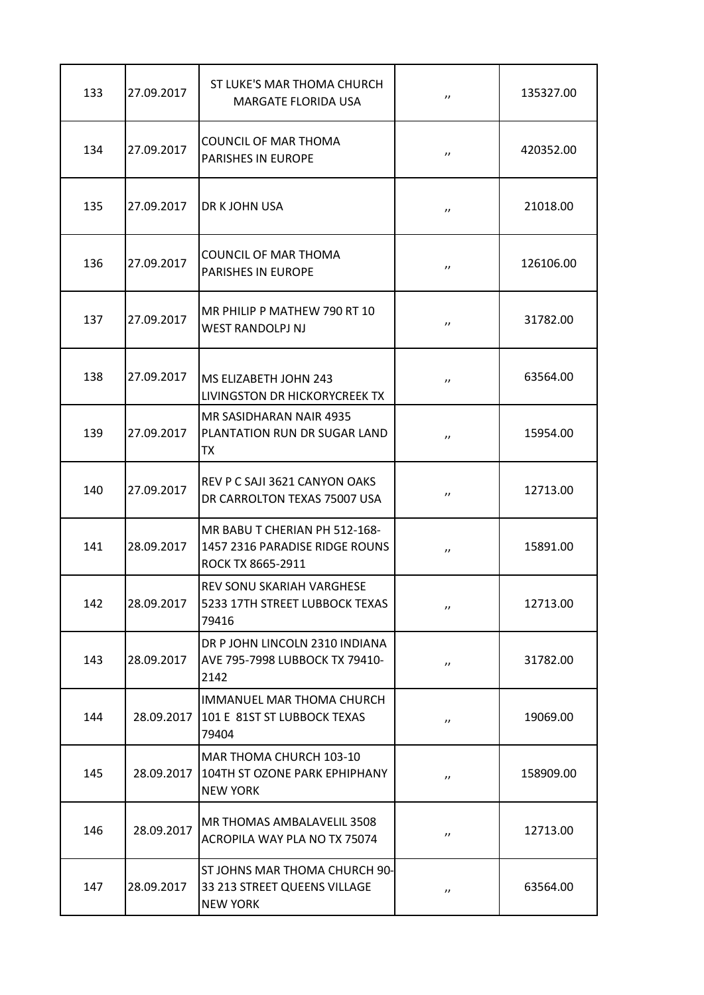| 133 | 27.09.2017 | ST LUKE'S MAR THOMA CHURCH<br><b>MARGATE FLORIDA USA</b>                             | $^{\prime\prime}$     | 135327.00 |
|-----|------------|--------------------------------------------------------------------------------------|-----------------------|-----------|
| 134 | 27.09.2017 | <b>COUNCIL OF MAR THOMA</b><br><b>PARISHES IN EUROPE</b>                             | $^{\prime\prime}$     | 420352.00 |
| 135 | 27.09.2017 | <b>DR K JOHN USA</b>                                                                 | $^{\prime\prime}$     | 21018.00  |
| 136 | 27.09.2017 | COUNCIL OF MAR THOMA<br><b>PARISHES IN EUROPE</b>                                    | $^{\prime\prime}$     | 126106.00 |
| 137 | 27.09.2017 | MR PHILIP P MATHEW 790 RT 10<br><b>WEST RANDOLPJ NJ</b>                              | $^{\prime\prime}$     | 31782.00  |
| 138 | 27.09.2017 | MS ELIZABETH JOHN 243<br>LIVINGSTON DR HICKORYCREEK TX                               | $^{\prime\prime}$     | 63564.00  |
| 139 | 27.09.2017 | MR SASIDHARAN NAIR 4935<br>PLANTATION RUN DR SUGAR LAND<br>TX                        | $^{\prime\prime}$     | 15954.00  |
| 140 | 27.09.2017 | REV P C SAJI 3621 CANYON OAKS<br>DR CARROLTON TEXAS 75007 USA                        | $^{\prime\prime}$     | 12713.00  |
| 141 | 28.09.2017 | MR BABU T CHERIAN PH 512-168-<br>1457 2316 PARADISE RIDGE ROUNS<br>ROCK TX 8665-2911 | $^{\prime\prime}$     | 15891.00  |
| 142 | 28.09.2017 | REV SONU SKARIAH VARGHESE<br>5233 17TH STREET LUBBOCK TEXAS<br>79416                 | $^{\prime\prime}$     | 12713.00  |
| 143 | 28.09.2017 | DR P JOHN LINCOLN 2310 INDIANA<br>AVE 795-7998 LUBBOCK TX 79410-<br>2142             | $\boldsymbol{\prime}$ | 31782.00  |
| 144 | 28.09.2017 | IMMANUEL MAR THOMA CHURCH<br>101 E 81ST ST LUBBOCK TEXAS<br>79404                    | $\boldsymbol{\prime}$ | 19069.00  |
| 145 | 28.09.2017 | MAR THOMA CHURCH 103-10<br>104TH ST OZONE PARK EPHIPHANY<br><b>NEW YORK</b>          | $^{\prime\prime}$     | 158909.00 |
| 146 | 28.09.2017 | MR THOMAS AMBALAVELIL 3508<br>ACROPILA WAY PLA NO TX 75074                           | $^{\prime\prime}$     | 12713.00  |
| 147 | 28.09.2017 | ST JOHNS MAR THOMA CHURCH 90-<br>33 213 STREET QUEENS VILLAGE<br><b>NEW YORK</b>     | $^{\prime\prime}$     | 63564.00  |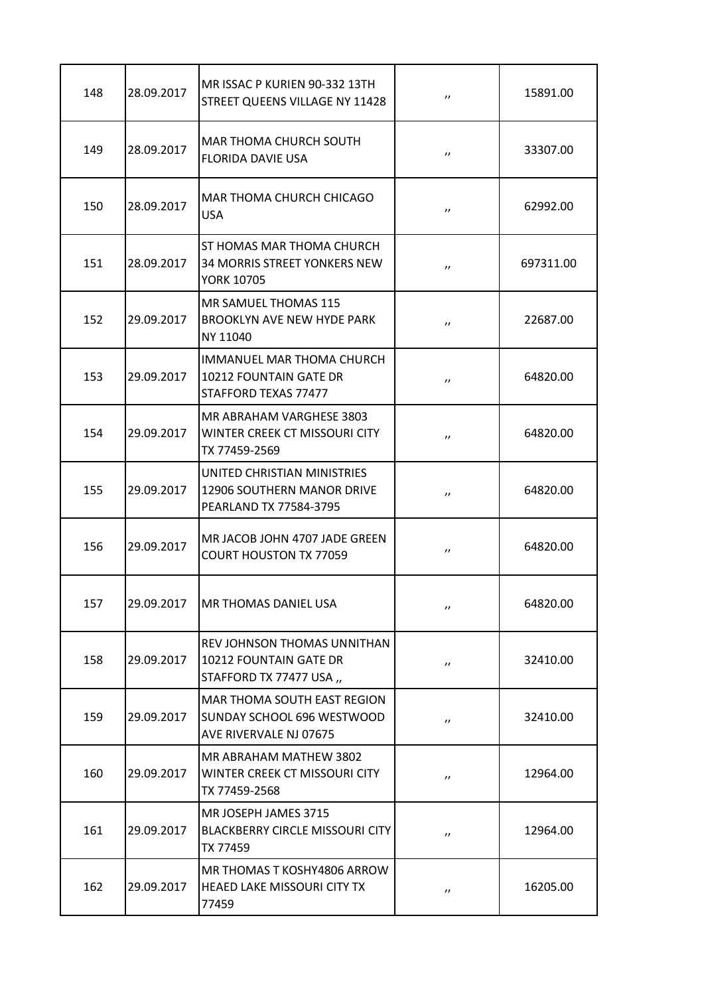| 148 | 28.09.2017 | MR ISSAC P KURIEN 90-332 13TH<br>STREET QUEENS VILLAGE NY 11428                       | $^{\prime\prime}$ | 15891.00  |
|-----|------------|---------------------------------------------------------------------------------------|-------------------|-----------|
| 149 | 28.09.2017 | MAR THOMA CHURCH SOUTH<br><b>FLORIDA DAVIE USA</b>                                    | $^{\prime\prime}$ | 33307.00  |
| 150 | 28.09.2017 | MAR THOMA CHURCH CHICAGO<br><b>USA</b>                                                | $^{\prime\prime}$ | 62992.00  |
| 151 | 28.09.2017 | <b>ST HOMAS MAR THOMA CHURCH</b><br>34 MORRIS STREET YONKERS NEW<br><b>YORK 10705</b> | $^{\prime\prime}$ | 697311.00 |
| 152 | 29.09.2017 | <b>MR SAMUEL THOMAS 115</b><br><b>BROOKLYN AVE NEW HYDE PARK</b><br>NY 11040          | $^{\prime\prime}$ | 22687.00  |
| 153 | 29.09.2017 | <b>IMMANUEL MAR THOMA CHURCH</b><br>10212 FOUNTAIN GATE DR<br>STAFFORD TEXAS 77477    | $^{\prime\prime}$ | 64820.00  |
| 154 | 29.09.2017 | MR ABRAHAM VARGHESE 3803<br>WINTER CREEK CT MISSOURI CITY<br>TX 77459-2569            | $^{\prime\prime}$ | 64820.00  |
| 155 | 29.09.2017 | UNITED CHRISTIAN MINISTRIES<br>12906 SOUTHERN MANOR DRIVE<br>PEARLAND TX 77584-3795   | $^{\prime\prime}$ | 64820.00  |
| 156 | 29.09.2017 | MR JACOB JOHN 4707 JADE GREEN<br><b>COURT HOUSTON TX 77059</b>                        | $^{\prime\prime}$ | 64820.00  |
| 157 | 29.09.2017 | <b>MR THOMAS DANIEL USA</b>                                                           | $^{\prime\prime}$ | 64820.00  |
| 158 | 29.09.2017 | REV JOHNSON THOMAS UNNITHAN<br>10212 FOUNTAIN GATE DR<br>STAFFORD TX 77477 USA ,,     | $^{\prime\prime}$ | 32410.00  |
| 159 | 29.09.2017 | MAR THOMA SOUTH EAST REGION<br>SUNDAY SCHOOL 696 WESTWOOD<br>AVE RIVERVALE NJ 07675   | $^{\prime\prime}$ | 32410.00  |
| 160 | 29.09.2017 | MR ABRAHAM MATHEW 3802<br>WINTER CREEK CT MISSOURI CITY<br>TX 77459-2568              | $^{\prime\prime}$ | 12964.00  |
| 161 | 29.09.2017 | MR JOSEPH JAMES 3715<br><b>BLACKBERRY CIRCLE MISSOURI CITY</b><br>TX 77459            | $^{\prime\prime}$ | 12964.00  |
| 162 | 29.09.2017 | MR THOMAS T KOSHY4806 ARROW<br><b>HEAED LAKE MISSOURI CITY TX</b><br>77459            | $^{\prime\prime}$ | 16205.00  |